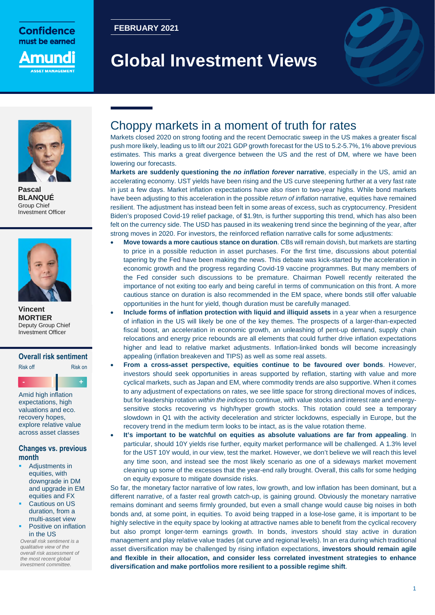

**FEBRUARY 2021**

# **Global Investment Views**





**Pascal BLANQUÉ** Group Chief Investment Officer



**Vincent MORTIER**  Deputy Group Chief Investment Officer

### **Overall risk sentiment**

Risk off **Risk on - +**

Amid high inflation expectations, high valuations and eco. recovery hopes, explore relative value across asset classes

### **Changes vs. previous month**

- Adjustments in equities, with downgrade in DM and upgrade in EM equities and FX
- Cautious on US duration, from a multi-asset view Positive on inflation

in the US *Overall risk sentiment is a qualitative view of the overall risk assessment of the most recent global* 

*investment committee.*

### Choppy markets in a moment of truth for rates

Markets closed 2020 on strong footing and the recent Democratic sweep in the US makes a greater fiscal push more likely, leading us to lift our 2021 GDP growth forecast for the US to 5.2-5.7%, 1% above previous estimates. This marks a great divergence between the US and the rest of DM, where we have been lowering our forecasts.

**Markets are suddenly questioning the** *no inflation forever* **narrative**, especially in the US, amid an accelerating economy. UST yields have been rising and the US curve steepening further at a very fast rate in just a few days. Market inflation expectations have also risen to two-year highs. While bond markets have been adjusting to this acceleration in the possible *return of inflation* narrative, equities have remained resilient. The adjustment has instead been felt in some areas of excess, such as cryptocurrency. President Biden's proposed Covid-19 relief package, of \$1.9tn, is further supporting this trend, which has also been felt on the currency side. The USD has paused in its weakening trend since the beginning of the year, after strong moves in 2020. For investors, the reinforced reflation narrative calls for some adjustments:

- **Move towards a more cautious stance on duration**. CBs will remain dovish, but markets are starting to price in a possible reduction in asset purchases. For the first time, discussions about potential tapering by the Fed have been making the news. This debate was kick-started by the acceleration in economic growth and the progress regarding Covid-19 vaccine programmes. But many members of the Fed consider such discussions to be premature. Chairman Powell recently reiterated the importance of not exiting too early and being careful in terms of communication on this front. A more cautious stance on duration is also recommended in the EM space, where bonds still offer valuable opportunities in the hunt for yield, though duration must be carefully managed.
- **Include forms of inflation protection with liquid and illiquid assets** in a year when a resurgence of inflation in the US will likely be one of the key themes. The prospects of a larger-than-expected fiscal boost, an acceleration in economic growth, an unleashing of pent-up demand, supply chain relocations and energy price rebounds are all elements that could further drive inflation expectations higher and lead to relative market adjustments. Inflation-linked bonds will become increasingly appealing (inflation breakeven and TIPS) as well as some real assets.
- **From a cross-asset perspective, equities continue to be favoured over bonds**. However, investors should seek opportunities in areas supported by reflation, starting with value and more cyclical markets, such as Japan and EM, where commodity trends are also supportive. When it comes to any adjustment of expectations on rates, we see little space for strong directional moves of indices, but for leadership rotation *within the indices* to continue, with value stocks and interest rate and energysensitive stocks recovering vs high/hyper growth stocks. This rotation could see a temporary slowdown in Q1 with the activity deceleration and stricter lockdowns, especially in Europe, but the recovery trend in the medium term looks to be intact, as is the value rotation theme.
- **It's important to be watchful on equities as absolute valuations are far from appealing**. In particular, should 10Y yields rise further, equity market performance will be challenged. A 1.3% level for the UST 10Y would, in our view, test the market. However, we don't believe we will reach this level any time soon, and instead see the most likely scenario as one of a sideways market movement cleaning up some of the excesses that the year-end rally brought. Overall, this calls for some hedging on equity exposure to mitigate downside risks.

So far, the monetary factor narrative of low rates, low growth, and low inflation has been dominant, but a different narrative, of a faster real growth catch-up, is gaining ground. Obviously the monetary narrative remains dominant and seems firmly grounded, but even a small change would cause big noises in both bonds and, at some point, in equities. To avoid being trapped in a lose-lose game, it is important to be highly selective in the equity space by looking at attractive names able to benefit from the cyclical recovery but also prompt longer-term earnings growth. In bonds, investors should stay active in duration management and play relative value trades (at curve and regional levels). In an era during which traditional asset diversification may be challenged by rising inflation expectations, **investors should remain agile and flexible in their allocation, and consider less correlated investment strategies to enhance diversification and make portfolios more resilient to a possible regime shift**.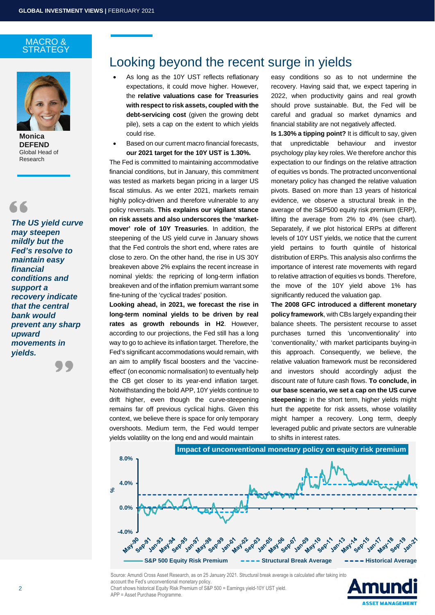### MACRO & **STRATEGY**



**Monica DEFEND**  Global Head of Research

*The US yield curve may steepen mildly but the Fed's resolve to maintain easy financial conditions and support a recovery indicate that the central bank would prevent any sharp upward movements in yields.* 



## Looking beyond the recent surge in yields

- As long as the 10Y UST reflects reflationary expectations, it could move higher. However, the **relative valuations case for Treasuries with respect to risk assets, coupled with the debt-servicing cost** (given the growing debt pile), sets a cap on the extent to which yields could rise.
- Based on our current macro financial forecasts, **our 2021 target for the 10Y UST is 1.30%.**

The Fed is committed to maintaining accommodative financial conditions, but in January, this commitment was tested as markets began pricing in a larger US fiscal stimulus. As we enter 2021, markets remain highly policy-driven and therefore vulnerable to any policy reversals. **This explains our vigilant stance on risk assets and also underscores the 'marketmover' role of 10Y Treasuries**. In addition, the steepening of the US yield curve in January shows that the Fed controls the short end, where rates are close to zero. On the other hand, the rise in US 30Y breakeven above 2% explains the recent increase in nominal yields: the repricing of long-term inflation breakeven and of the inflation premium warrant some fine-tuning of the 'cyclical trades' position.

**Looking ahead, in 2021, we forecast the rise in long-term nominal yields to be driven by real rates as growth rebounds in H2**. However, according to our projections, the Fed still has a long way to go to achieve its inflation target. Therefore, the Fed's significant accommodations would remain, with an aim to amplify fiscal boosters and the 'vaccineeffect' (on economic normalisation) to eventually help the CB get closer to its year-end inflation target. Notwithstanding the bold APP, 10Y yields continue to drift higher, even though the curve-steepening remains far off previous cyclical highs. Given this context, we believe there is space for only temporary overshoots. Medium term, the Fed would temper yields volatility on the long end and would maintain

easy conditions so as to not undermine the recovery. Having said that, we expect tapering in 2022, when productivity gains and real growth should prove sustainable. But, the Fed will be careful and gradual so market dynamics and financial stability are not negatively affected.

**Is 1.30% a tipping point?** It is difficult to say, given that unpredictable behaviour and investor psychology play key roles. We therefore anchor this expectation to our findings on the relative attraction of equities vs bonds. The protracted unconventional monetary policy has changed the relative valuation pivots. Based on more than 13 years of historical evidence, we observe a structural break in the average of the S&P500 equity risk premium (ERP), lifting the average from 2% to 4% (see chart). Separately, if we plot historical ERPs at different levels of 10Y UST yields, we notice that the current yield pertains to fourth quintile of historical distribution of ERPs. This analysis also confirms the importance of interest rate movements with regard to relative attraction of equities vs bonds. Therefore, the move of the 10Y yield above 1% has significantly reduced the valuation gap.

**The 2008 GFC introduced a different monetary policy framework**, with CBs largely expanding their balance sheets. The persistent recourse to asset purchases turned this 'unconventionality' into 'conventionality,' with market participants buying-in this approach. Consequently, we believe, the relative valuation framework must be reconsidered and investors should accordingly adjust the discount rate of future cash flows. **To conclude, in our base scenario, we set a cap on the US curve steepening:** in the short term, higher yields might hurt the appetite for risk assets, whose volatility might hamper a recovery. Long term, deeply leveraged public and private sectors are vulnerable to shifts in interest rates.



Source: Amundi Cross Asset Research, as on 25 January 2021. Structural break average is calculated after taking into account the Fed's unconventional monetary policy. Chart shows historical Equity Risk Premium of S&P 500 = Earnings yield-10Y UST yield. APP = Asset Purchase Programme.

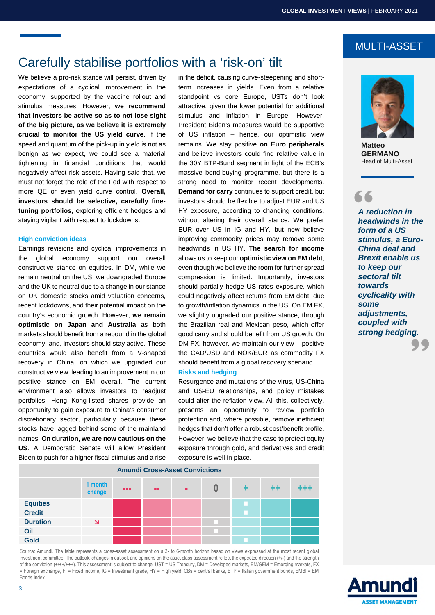# Carefully stabilise portfolios with a 'risk-on' tilt

We believe a pro-risk stance will persist, driven by expectations of a cyclical improvement in the economy, supported by the vaccine rollout and stimulus measures. However, **we recommend that investors be active so as to not lose sight of the big picture, as we believe it is extremely crucial to monitor the US yield curve**. If the speed and quantum of the pick-up in yield is not as benign as we expect, we could see a material tightening in financial conditions that would negatively affect risk assets. Having said that, we must not forget the role of the Fed with respect to more QE or even yield curve control. **Overall, investors should be selective, carefully finetuning portfolios**, exploring efficient hedges and staying vigilant with respect to lockdowns.

### **High conviction ideas**

Earnings revisions and cyclical improvements in the global economy support our overall constructive stance on equities. In DM, while we remain neutral on the US, we downgraded Europe and the UK to neutral due to a change in our stance on UK domestic stocks amid valuation concerns, recent lockdowns, and their potential impact on the country's economic growth. However, **we remain optimistic on Japan and Australia** as both markets should benefit from a rebound in the global economy, and, investors should stay active. These countries would also benefit from a V-shaped recovery in China, on which we upgraded our constructive view, leading to an improvement in our positive stance on EM overall. The current environment also allows investors to readjust portfolios: Hong Kong-listed shares provide an opportunity to gain exposure to China's consumer discretionary sector, particularly because these stocks have lagged behind some of the mainland names. **On duration, we are now cautious on the US**. A Democratic Senate will allow President Biden to push for a higher fiscal stimulus and a rise

in the deficit, causing curve-steepening and shortterm increases in yields. Even from a relative standpoint vs core Europe, USTs don't look attractive, given the lower potential for additional stimulus and inflation in Europe. However, President Biden's measures would be supportive of US inflation – hence, our optimistic view remains. We stay positive **on Euro peripherals** and believe investors could find relative value in the 30Y BTP-Bund segment in light of the ECB's massive bond-buying programme, but there is a strong need to monitor recent developments. **Demand for carry** continues to support credit, but investors should be flexible to adjust EUR and US HY exposure, according to changing conditions, without altering their overall stance. We prefer EUR over US in IG and HY, but now believe improving commodity prices may remove some headwinds in US HY. **The search for income** allows us to keep our **optimistic view on EM debt**, even though we believe the room for further spread compression is limited. Importantly, investors should partially hedge US rates exposure, which could negatively affect returns from EM debt, due to growth/inflation dynamics in the US. On EM FX, we slightly upgraded our positive stance, through the Brazilian real and Mexican peso, which offer good carry and should benefit from US growth. On DM FX, however, we maintain our view – positive the CAD/USD and NOK/EUR as commodity FX should benefit from a global recovery scenario.

#### **Risks and hedging**

Resurgence and mutations of the virus, US-China and US-EU relationships, and policy mistakes could alter the reflation view. All this, collectively, presents an opportunity to review portfolio protection and, where possible, remove inefficient hedges that don't offer a robust cost/benefit profile. However, we believe that the case to protect equity exposure through gold, and derivatives and credit exposure is well in place.



MULTI-ASSET

**Matteo GERMANO** Head of Multi-Asset

66

*A reduction in headwinds in the form of a US stimulus, a Euro-China deal and Brexit enable us to keep our sectoral tilt towards cyclicality with some adjustments, coupled with strong hedging.* 

|                 | 1 month<br>change       | <b>PERMIT</b> | <b>STATE</b> |  | $+ +$ |  |
|-----------------|-------------------------|---------------|--------------|--|-------|--|
| <b>Equities</b> |                         |               |              |  |       |  |
| <b>Credit</b>   |                         |               |              |  |       |  |
| <b>Duration</b> | $\overline{\mathsf{v}}$ |               |              |  |       |  |
| Oil             |                         |               |              |  |       |  |
| <b>Gold</b>     |                         |               |              |  |       |  |

**Amundi Cross-Asset Convictions**

Source: Amundi. The table represents a cross-asset assessment on a 3- to 6-month horizon based on views expressed at the most recent global investment committee. The outlook, changes in outlook and opinions on the asset class assessment reflect the expected direction (+/-) and the strength of the conviction (+/++/+++). This assessment is subject to change. UST = US Treasury, DM = Developed markets, EM/GEM = Emerging markets, FX = Foreign exchange, FI = Fixed income, IG = Investment grade, HY = High yield, CBs = central banks, BTP = Italian government bonds, EMBI = EM Bonds Index.

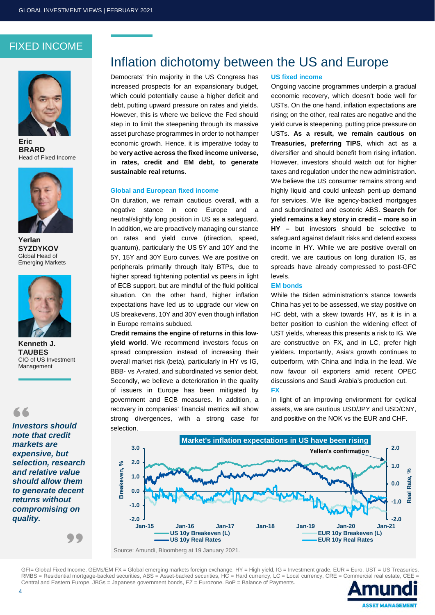### FIXED INCOME



**Eric BRARD** Head of Fixed Income



**Yerlan SYZDYKOV**  Global Head of Emerging Markets



**Kenneth J. TAUBES**  CIO of US Investment Management

66

*Investors should note that credit markets are expensive, but selection, research and relative value should allow them to generate decent returns without compromising on quality.* 

# Inflation dichotomy between the US and Europe

Democrats' thin majority in the US Congress has increased prospects for an expansionary budget, which could potentially cause a higher deficit and debt, putting upward pressure on rates and yields. However, this is where we believe the Fed should step in to limit the steepening through its massive asset purchase programmes in order to not hamper economic growth. Hence, it is imperative today to be **very active across the fixed income universe, in rates, credit and EM debt, to generate sustainable real returns**.

### **Global and European fixed income**

On duration, we remain cautious overall, with a negative stance in core Europe and a neutral/slightly long position in US as a safeguard. In addition, we are proactively managing our stance on rates and yield curve (direction, speed, quantum), particularly the US 5Y and 10Y and the 5Y, 15Y and 30Y Euro curves. We are positive on peripherals primarily through Italy BTPs, due to higher spread tightening potential vs peers in light of ECB support, but are mindful of the fluid political situation. On the other hand, higher inflation expectations have led us to upgrade our view on US breakevens, 10Y and 30Y even though inflation in Europe remains subdued.

**Credit remains the engine of returns in this lowyield world**. We recommend investors focus on spread compression instead of increasing their overall market risk (beta), particularly in HY vs IG, BBB- vs A-rated, and subordinated vs senior debt. Secondly, we believe a deterioration in the quality of issuers in Europe has been mitigated by government and ECB measures. In addition, a recovery in companies' financial metrics will show strong divergences, with a strong case for selection.

#### **US fixed income**

Ongoing vaccine programmes underpin a gradual economic recovery, which doesn't bode well for USTs. On the one hand, inflation expectations are rising; on the other, real rates are negative and the yield curve is steepening, putting price pressure on USTs. **As a result, we remain cautious on Treasuries, preferring TIPS**, which act as a diversifier and should benefit from rising inflation. However, investors should watch out for higher taxes and regulation under the new administration. We believe the US consumer remains strong and highly liquid and could unleash pent-up demand for services. We like agency-backed mortgages and subordinated and esoteric ABS. **Search for yield remains a key story in credit – more so in HY –** but investors should be selective to safeguard against default risks and defend excess income in HY. While we are positive overall on credit, we are cautious on long duration IG, as spreads have already compressed to post-GFC levels.

### **EM bonds**

While the Biden administration's stance towards China has yet to be assessed, we stay positive on HC debt, with a skew towards HY, as it is in a better position to cushion the widening effect of UST yields, whereas this presents a risk to IG. We are constructive on FX, and in LC, prefer high yielders. Importantly, Asia's growth continues to outperform, with China and India in the lead. We now favour oil exporters amid recent OPEC discussions and Saudi Arabia's production cut.

### **FX**

In light of an improving environment for cyclical assets, we are cautious USD/JPY and USD/CNY, and positive on the NOK vs the EUR and CHF.



GFI= Global Fixed Income, GEMs/EM FX = Global emerging markets foreign exchange, HY = High yield, IG = Investment grade, EUR = Euro, UST = US Treasuries,  $RMBS =$  Residential mortgage-backed securities, ABS = Asset-backed securities,  $HC =$  Hard currency, LC = Local currency, CRE = Commercial real estate, CEE = Central and Eastern Europe, JBGs = Japanese government bonds, EZ = Eurozone. BoP = Balance of Payments.

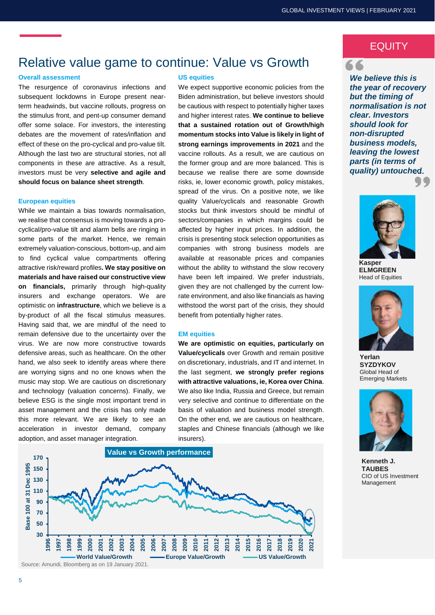# Relative value game to continue: Value vs Growth

#### **Overall assessment**

The resurgence of coronavirus infections and subsequent lockdowns in Europe present nearterm headwinds, but vaccine rollouts, progress on the stimulus front, and pent-up consumer demand offer some solace. For investors, the interesting debates are the movement of rates/inflation and effect of these on the pro-cyclical and pro-value tilt. Although the last two are structural stories, not all components in these are attractive. As a result, investors must be very **selective and agile and should focus on balance sheet strength**.

### **European equities**

While we maintain a bias towards normalisation, we realise that consensus is moving towards a procyclical/pro-value tilt and alarm bells are ringing in some parts of the market. Hence, we remain extremely valuation-conscious, bottom-up, and aim to find cyclical value compartments offering attractive risk/reward profiles**. We stay positive on materials and have raised our constructive view on financials,** primarily through high-quality insurers and exchange operators. We are optimistic on **infrastructure**, which we believe is a by-product of all the fiscal stimulus measures. Having said that, we are mindful of the need to remain defensive due to the uncertainty over the virus. We are now more constructive towards defensive areas, such as healthcare. On the other hand, we also seek to identify areas where there are worrying signs and no one knows when the music may stop. We are cautious on discretionary and technology (valuation concerns). Finally, we believe ESG is the single most important trend in asset management and the crisis has only made this more relevant. We are likely to see an acceleration in investor demand, company adoption, and asset manager integration.

#### **US equities**

We expect supportive economic policies from the Biden administration, but believe investors should be cautious with respect to potentially higher taxes and higher interest rates. **We continue to believe that a sustained rotation out of Growth/high momentum stocks into Value is likely in light of strong earnings improvements in 2021** and the vaccine rollouts. As a result, we are cautious on the former group and are more balanced. This is because we realise there are some downside risks, ie, lower economic growth, policy mistakes, spread of the virus. On a positive note, we like quality Value/cyclicals and reasonable Growth stocks but think investors should be mindful of sectors/companies in which margins could be affected by higher input prices. In addition, the crisis is presenting stock selection opportunities as companies with strong business models are available at reasonable prices and companies without the ability to withstand the slow recovery have been left impaired. We prefer industrials, given they are not challenged by the current lowrate environment, and also like financials as having withstood the worst part of the crisis, they should benefit from potentially higher rates.

#### **EM equities**

**We are optimistic on equities, particularly on Value/cyclicals** over Growth and remain positive on discretionary, industrials, and IT and internet. In the last segment, **we strongly prefer regions with attractive valuations, ie, Korea over China**. We also like India, Russia and Greece, but remain very selective and continue to differentiate on the basis of valuation and business model strength. On the other end, we are cautious on healthcare, staples and Chinese financials (although we like insurers).



### **EQUITY** 66

*We believe this is the year of recovery but the timing of normalisation is not clear. Investors should look for non-disrupted business models, leaving the lowest parts (in terms of quality) untouched.*



**ELMGREEN**  Head of Equities



**Yerlan SYZDYKOV** Global Head of Emerging Markets



**Kenneth J. TAUBES**  CIO of US Investment Management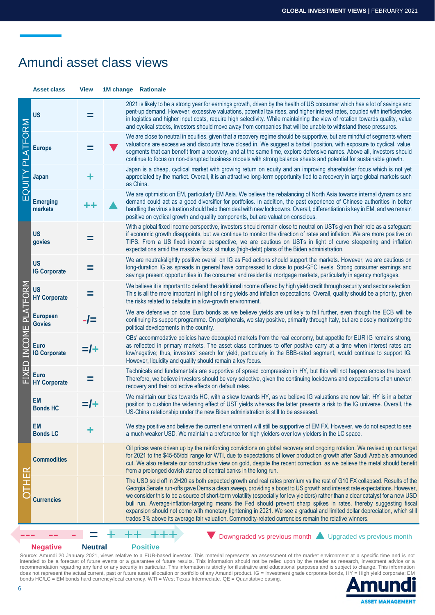### Amundi asset class views

**Asset class View 1M change Rationale**  $\rm \Xi$  **Emerging**  UIT Y **Japan +** PLATFO **Europe =**  $\alpha'$ ⋝ **US =** 2021 is likely to be a strong year for earnings growth, driven by the health of US consumer which has a lot of savings and pent-up demand. However, excessive valuations, potential tax rises, and higher interest rates, coupled with inefficiencies in logistics and higher input costs, require high selectivity. While maintaining the view of rotation towards quality, value and cyclical stocks, investors should move away from companies that will be unable to withstand these pressures. We are close to neutral in equities, given that a recovery regime should be supportive, but are mindful of segments where valuations are excessive and discounts have closed in. We suggest a barbell position, with exposure to cyclical, value, segments that can benefit from a recovery, and at the same time, explore defensive names. Above all, investors should continue to focus on non-disrupted business models with strong balance sheets and potential for sustainable growth. Japan is a cheap, cyclical market with growing return on equity and an improving shareholder focus which is not yet appreciated by the market. Overall, it is an attractive long-term opportunity tied to a recovery in large global markets such as China. **markets** We are optimistic on EM, particularly EM Asia. We believe the rebalancing of North Asia towards internal dynamics and demand could act as a good diversifier for portfolios. In addition, the past experience of Chinese authorities in better handling the virus situation should help them deal with new lockdowns. Overall, differentiation is key in EM, and we remain positive on cyclical growth and quality components, but are valuation conscious. FIXED INCO<br>Fixed Inco **Euro IG Corporate =/+ Euro**   $\equiv$ PLAT FO **Govies -/= European HY Corporate =**  $\mathsf{\Sigma}\mathsf{M}$  **US US govies =** With a global fixed income perspective, investors should remain close to neutral on USTs given their role as a safeguard if economic growth disappoints, but we continue to monitor the direction of rates and inflation. We are more positive on TIPS. From a US fixed income perspective, we are cautious on USTs in light of curve steepening and inflation expectations amid the massive fiscal stimulus (high-debt) plans of the Biden administration. **US IG Corporate** We are neutral/slightly positive overall on IG as Fed actions should support the markets. However, we are cautious on long-duration IG as spreads in general have compressed to close to post-GFC levels. Strong consumer earnings and savings present opportunities in the consumer and residential mortgage markets, particularly in agency mortgages. We believe it is important to defend the additional income offered by high yield credit through security and sector selection. This is all the more important in light of rising yields and inflation expectations. Overall, quality should be a priority, given the risks related to defaults in a low-growth environment. We are defensive on core Euro bonds as we believe yields are unlikely to fall further, even though the ECB will be continuing its support programme. On peripherals, we stay positive, primarily through Italy, but are closely monitoring the political developments in the country. CBs' accommodative policies have decoupled markets from the real economy, but appetite for EUR IG remains strong, as reflected in primary markets. The asset class continues to offer positive carry at a time when interest rates are low/negative; thus, investors' search for yield, particularly in the BBB-rated segment, would continue to support IG. However, liquidity and quality should remain a key focus. **HY Corporate** Technicals and fundamentals are supportive of spread compression in HY, but this will not happen across the board. Therefore, we believe investors should be very selective, given the continuing lockdowns and expectations of an uneven recovery and their collective effects on default rates. **EM Bonds HC** We maintain our bias towards HC, with a skew towards HY, as we believe IG valuations are now fair. HY is in a better position to cushion the widening effect of UST yields whereas the latter presents a risk to the IG universe. Overall, the US-China relationship under the new Biden administration is still to be assessed. **EM Bonds | C** We stay positive and believe the current environment will still be supportive of EM FX. However, we do not expect to see a much weaker USD. We maintain a preference for high yielders over low yielders in the LC space.  $\bigcirc$  **Currencies**  T  $\mathbf T$  $\mathbb{E}$ **Commodities**  Oil prices were driven up by the reinforcing convictions on global recovery and ongoing rotation. We revised up our target for 2021 to the \$45-55/bbl range for WTI, due to expectations of lower production growth after Saudi Arabia's announced cut. We also reiterate our constructive view on gold, despite the recent correction, as we believe the metal should benefit from a prolonged dovish stance of central banks in the long run. The USD sold off in 2H20 as both expected growth and real rates premium vs the rest of G10 FX collapsed. Results of the Georgia Senate run-offs gave Dems a clean sweep, providing a boost to US growth and interest rate expectations. However, we consider this to be a source of short-term volatility (especially for low yielders) rather than a clear catalyst for a new USD bull run. Average-inflation-targeting means the Fed should prevent sharp spikes in rates, thereby suggesting fiscal expansion should not come with monetary tightening in 2021. We see a gradual and limited dollar depreciation, which still trades 3% above its average fair valuation. Commodity-related currencies remain the relative winners. Downgraded vs previous month **A** Upgraded vs previous month

### **Negative Neutral Positive**

Source: Amundi 20 January 2021, views relative to a EUR-based investor. This material represents an assessment of the market environment at a specific time and is not intended to be a forecast of future events or a guarantee of future results. This information should not be relied upon by the reader as research, investment advice or a recommendation regarding any fund or any security in particular. This information is strictly for illustrative and educational purposes and is subject to change. This information does not represent the actual current, past or future asset allocation or portfolio of any Amundi product. IG = Investment grade corporate bonds, HY = High yield corporate; EM bonds HC/LC = EM bonds hard currency/local currency. WTI = West Texas Intermediate. QE = Quantitative easing.